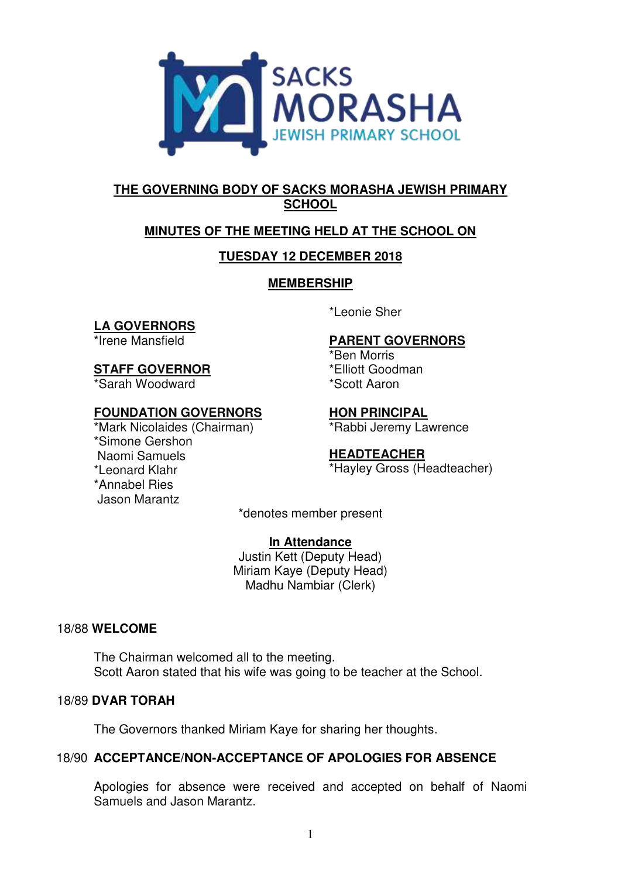

# **THE GOVERNING BODY OF SACKS MORASHA JEWISH PRIMARY SCHOOL**

# **MINUTES OF THE MEETING HELD AT THE SCHOOL ON**

# **TUESDAY 12 DECEMBER 2018**

# **MEMBERSHIP**

# **LA GOVERNORS**

\*Irene Mansfield

**STAFF GOVERNOR** 

\*Sarah Woodward

# **FOUNDATION GOVERNORS**

\*Mark Nicolaides (Chairman) \*Simone Gershon Naomi Samuels \*Leonard Klahr \*Annabel Ries Jason Marantz

\*Leonie Sher

# **PARENT GOVERNORS**

\*Ben Morris \*Elliott Goodman \*Scott Aaron

**HON PRINCIPAL**  \*Rabbi Jeremy Lawrence

# **HEADTEACHER**

\*Hayley Gross (Headteacher)

\*denotes member present

# **In Attendance**

Justin Kett (Deputy Head) Miriam Kaye (Deputy Head) Madhu Nambiar (Clerk)

# 18/88 **WELCOME**

The Chairman welcomed all to the meeting. Scott Aaron stated that his wife was going to be teacher at the School.

# 18/89 **DVAR TORAH**

The Governors thanked Miriam Kaye for sharing her thoughts.

# 18/90 **ACCEPTANCE/NON-ACCEPTANCE OF APOLOGIES FOR ABSENCE**

Apologies for absence were received and accepted on behalf of Naomi Samuels and Jason Marantz.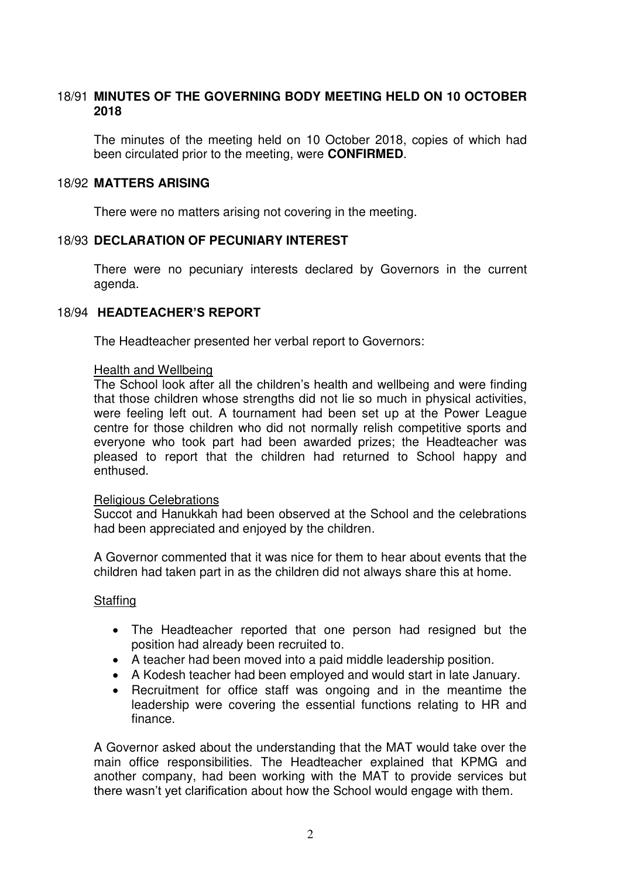# 18/91 **MINUTES OF THE GOVERNING BODY MEETING HELD ON 10 OCTOBER 2018**

The minutes of the meeting held on 10 October 2018, copies of which had been circulated prior to the meeting, were **CONFIRMED**.

## 18/92 **MATTERS ARISING**

There were no matters arising not covering in the meeting.

## 18/93 **DECLARATION OF PECUNIARY INTEREST**

There were no pecuniary interests declared by Governors in the current agenda.

## 18/94 **HEADTEACHER'S REPORT**

The Headteacher presented her verbal report to Governors:

#### Health and Wellbeing

The School look after all the children's health and wellbeing and were finding that those children whose strengths did not lie so much in physical activities, were feeling left out. A tournament had been set up at the Power League centre for those children who did not normally relish competitive sports and everyone who took part had been awarded prizes; the Headteacher was pleased to report that the children had returned to School happy and enthused.

#### Religious Celebrations

Succot and Hanukkah had been observed at the School and the celebrations had been appreciated and enjoyed by the children.

A Governor commented that it was nice for them to hear about events that the children had taken part in as the children did not always share this at home.

#### Staffing

- The Headteacher reported that one person had resigned but the position had already been recruited to.
- A teacher had been moved into a paid middle leadership position.
- A Kodesh teacher had been employed and would start in late January.
- Recruitment for office staff was ongoing and in the meantime the leadership were covering the essential functions relating to HR and finance.

A Governor asked about the understanding that the MAT would take over the main office responsibilities. The Headteacher explained that KPMG and another company, had been working with the MAT to provide services but there wasn't yet clarification about how the School would engage with them.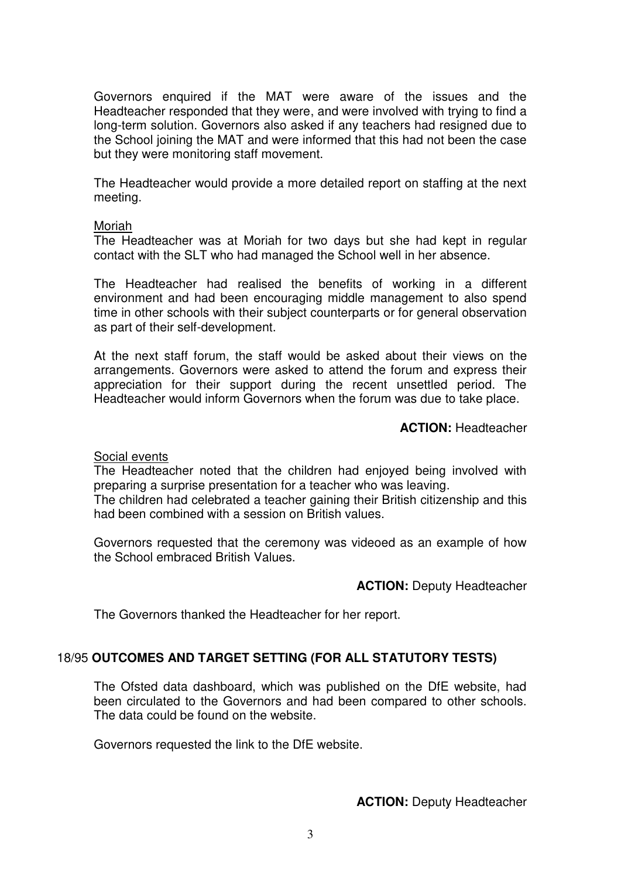Governors enquired if the MAT were aware of the issues and the Headteacher responded that they were, and were involved with trying to find a long-term solution. Governors also asked if any teachers had resigned due to the School joining the MAT and were informed that this had not been the case but they were monitoring staff movement.

The Headteacher would provide a more detailed report on staffing at the next meeting.

#### Moriah

The Headteacher was at Moriah for two days but she had kept in regular contact with the SLT who had managed the School well in her absence.

The Headteacher had realised the benefits of working in a different environment and had been encouraging middle management to also spend time in other schools with their subject counterparts or for general observation as part of their self-development.

At the next staff forum, the staff would be asked about their views on the arrangements. Governors were asked to attend the forum and express their appreciation for their support during the recent unsettled period. The Headteacher would inform Governors when the forum was due to take place.

**ACTION:** Headteacher

#### Social events

The Headteacher noted that the children had enjoyed being involved with preparing a surprise presentation for a teacher who was leaving.

The children had celebrated a teacher gaining their British citizenship and this had been combined with a session on British values.

Governors requested that the ceremony was videoed as an example of how the School embraced British Values.

#### **ACTION:** Deputy Headteacher

The Governors thanked the Headteacher for her report.

#### 18/95 **OUTCOMES AND TARGET SETTING (FOR ALL STATUTORY TESTS)**

The Ofsted data dashboard, which was published on the DfE website, had been circulated to the Governors and had been compared to other schools. The data could be found on the website.

Governors requested the link to the DfE website.

#### **ACTION:** Deputy Headteacher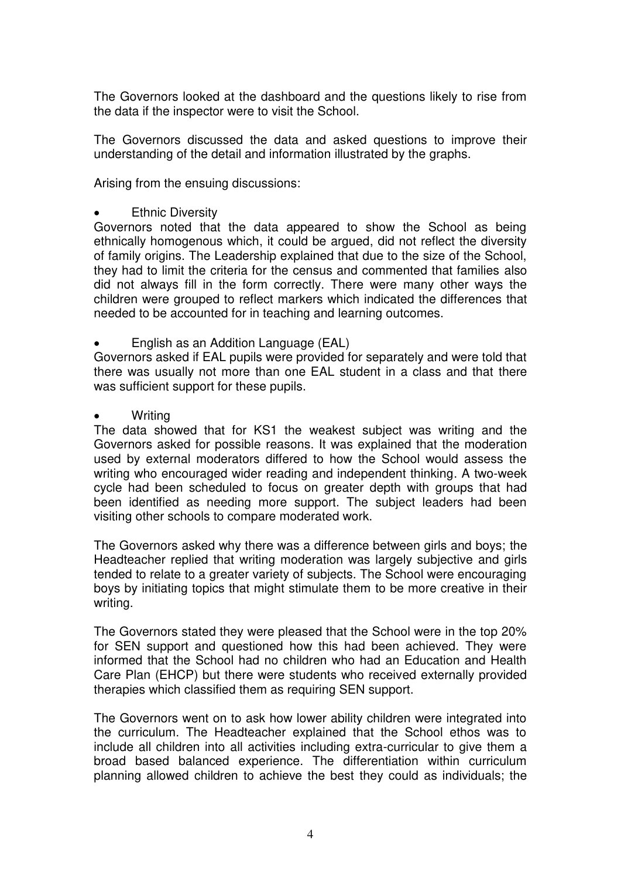The Governors looked at the dashboard and the questions likely to rise from the data if the inspector were to visit the School.

 The Governors discussed the data and asked questions to improve their understanding of the detail and information illustrated by the graphs.

Arising from the ensuing discussions:

## Ethnic Diversity

Governors noted that the data appeared to show the School as being ethnically homogenous which, it could be argued, did not reflect the diversity of family origins. The Leadership explained that due to the size of the School, they had to limit the criteria for the census and commented that families also did not always fill in the form correctly. There were many other ways the children were grouped to reflect markers which indicated the differences that needed to be accounted for in teaching and learning outcomes.

English as an Addition Language (EAL)

Governors asked if EAL pupils were provided for separately and were told that there was usually not more than one EAL student in a class and that there was sufficient support for these pupils.

**Writing** 

The data showed that for KS1 the weakest subject was writing and the Governors asked for possible reasons. It was explained that the moderation used by external moderators differed to how the School would assess the writing who encouraged wider reading and independent thinking. A two-week cycle had been scheduled to focus on greater depth with groups that had been identified as needing more support. The subject leaders had been visiting other schools to compare moderated work.

The Governors asked why there was a difference between girls and boys; the Headteacher replied that writing moderation was largely subjective and girls tended to relate to a greater variety of subjects. The School were encouraging boys by initiating topics that might stimulate them to be more creative in their writing.

The Governors stated they were pleased that the School were in the top 20% for SEN support and questioned how this had been achieved. They were informed that the School had no children who had an Education and Health Care Plan (EHCP) but there were students who received externally provided therapies which classified them as requiring SEN support.

The Governors went on to ask how lower ability children were integrated into the curriculum. The Headteacher explained that the School ethos was to include all children into all activities including extra-curricular to give them a broad based balanced experience. The differentiation within curriculum planning allowed children to achieve the best they could as individuals; the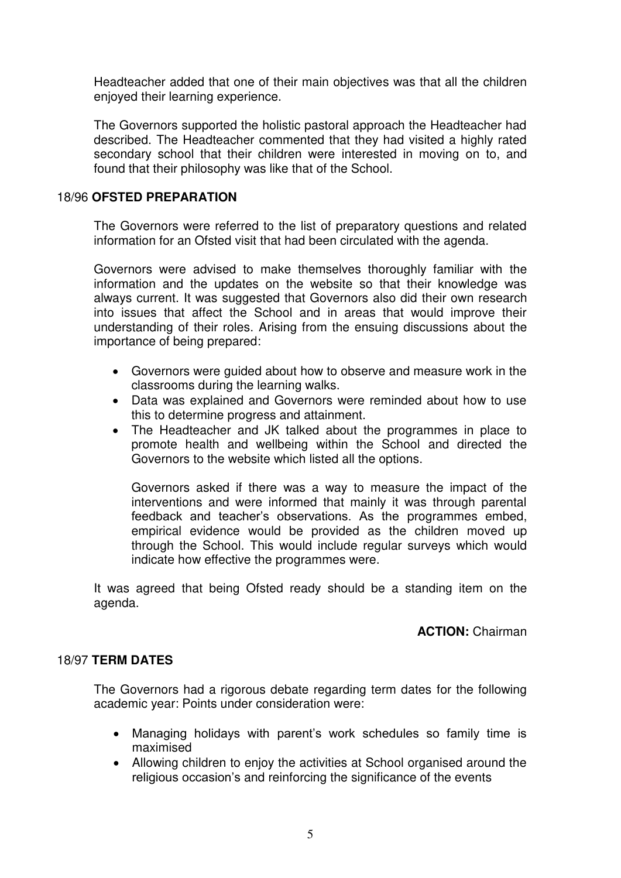Headteacher added that one of their main objectives was that all the children enjoyed their learning experience.

The Governors supported the holistic pastoral approach the Headteacher had described. The Headteacher commented that they had visited a highly rated secondary school that their children were interested in moving on to, and found that their philosophy was like that of the School.

## 18/96 **OFSTED PREPARATION**

The Governors were referred to the list of preparatory questions and related information for an Ofsted visit that had been circulated with the agenda.

Governors were advised to make themselves thoroughly familiar with the information and the updates on the website so that their knowledge was always current. It was suggested that Governors also did their own research into issues that affect the School and in areas that would improve their understanding of their roles. Arising from the ensuing discussions about the importance of being prepared:

- Governors were guided about how to observe and measure work in the classrooms during the learning walks.
- Data was explained and Governors were reminded about how to use this to determine progress and attainment.
- The Headteacher and JK talked about the programmes in place to promote health and wellbeing within the School and directed the Governors to the website which listed all the options.

Governors asked if there was a way to measure the impact of the interventions and were informed that mainly it was through parental feedback and teacher's observations. As the programmes embed, empirical evidence would be provided as the children moved up through the School. This would include regular surveys which would indicate how effective the programmes were.

 It was agreed that being Ofsted ready should be a standing item on the agenda.

## **ACTION:** Chairman

# 18/97 **TERM DATES**

 The Governors had a rigorous debate regarding term dates for the following academic year: Points under consideration were:

- Managing holidays with parent's work schedules so family time is maximised
- Allowing children to enjoy the activities at School organised around the religious occasion's and reinforcing the significance of the events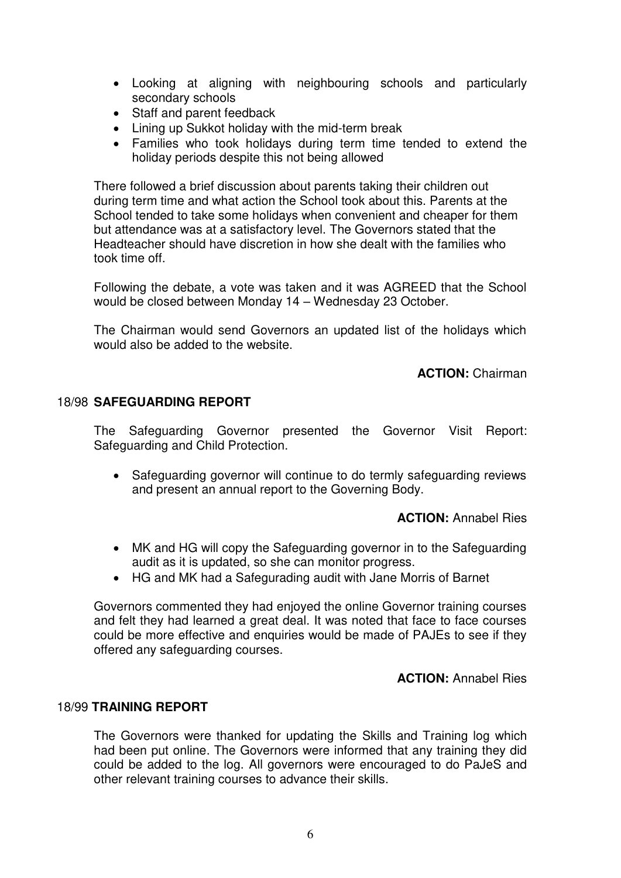- Looking at aligning with neighbouring schools and particularly secondary schools
- Staff and parent feedback
- Lining up Sukkot holiday with the mid-term break
- Families who took holidays during term time tended to extend the holiday periods despite this not being allowed

There followed a brief discussion about parents taking their children out during term time and what action the School took about this. Parents at the School tended to take some holidays when convenient and cheaper for them but attendance was at a satisfactory level. The Governors stated that the Headteacher should have discretion in how she dealt with the families who took time off.

Following the debate, a vote was taken and it was AGREED that the School would be closed between Monday 14 – Wednesday 23 October.

The Chairman would send Governors an updated list of the holidays which would also be added to the website.

**ACTION:** Chairman

## 18/98 **SAFEGUARDING REPORT**

 The Safeguarding Governor presented the Governor Visit Report: Safeguarding and Child Protection.

• Safeguarding governor will continue to do termly safeguarding reviews and present an annual report to the Governing Body.

**ACTION:** Annabel Ries

- MK and HG will copy the Safeguarding governor in to the Safeguarding audit as it is updated, so she can monitor progress.
- HG and MK had a Safegurading audit with Jane Morris of Barnet

 Governors commented they had enjoyed the online Governor training courses and felt they had learned a great deal. It was noted that face to face courses could be more effective and enquiries would be made of PAJEs to see if they offered any safeguarding courses.

**ACTION:** Annabel Ries

#### 18/99 **TRAINING REPORT**

 The Governors were thanked for updating the Skills and Training log which had been put online. The Governors were informed that any training they did could be added to the log. All governors were encouraged to do PaJeS and other relevant training courses to advance their skills.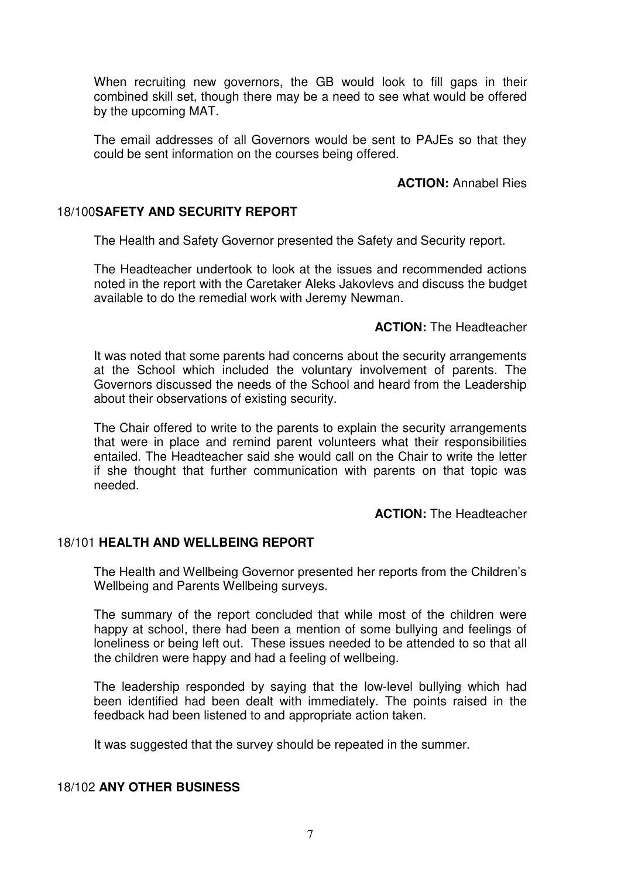When recruiting new governors, the GB would look to fill gaps in their combined skill set, though there may be a need to see what would be offered by the upcoming MAT.

 The email addresses of all Governors would be sent to PAJEs so that they could be sent information on the courses being offered.

## **ACTION:** Annabel Ries

## 18/100**SAFETY AND SECURITY REPORT**

The Health and Safety Governor presented the Safety and Security report.

 The Headteacher undertook to look at the issues and recommended actions noted in the report with the Caretaker Aleks Jakovlevs and discuss the budget available to do the remedial work with Jeremy Newman.

## **ACTION:** The Headteacher

 It was noted that some parents had concerns about the security arrangements at the School which included the voluntary involvement of parents. The Governors discussed the needs of the School and heard from the Leadership about their observations of existing security.

The Chair offered to write to the parents to explain the security arrangements that were in place and remind parent volunteers what their responsibilities entailed. The Headteacher said she would call on the Chair to write the letter if she thought that further communication with parents on that topic was needed.

## **ACTION:** The Headteacher

## 18/101 **HEALTH AND WELLBEING REPORT**

The Health and Wellbeing Governor presented her reports from the Children's Wellbeing and Parents Wellbeing surveys.

 The summary of the report concluded that while most of the children were happy at school, there had been a mention of some bullying and feelings of loneliness or being left out. These issues needed to be attended to so that all the children were happy and had a feeling of wellbeing.

 The leadership responded by saying that the low-level bullying which had been identified had been dealt with immediately. The points raised in the feedback had been listened to and appropriate action taken.

It was suggested that the survey should be repeated in the summer.

## 18/102 **ANY OTHER BUSINESS**